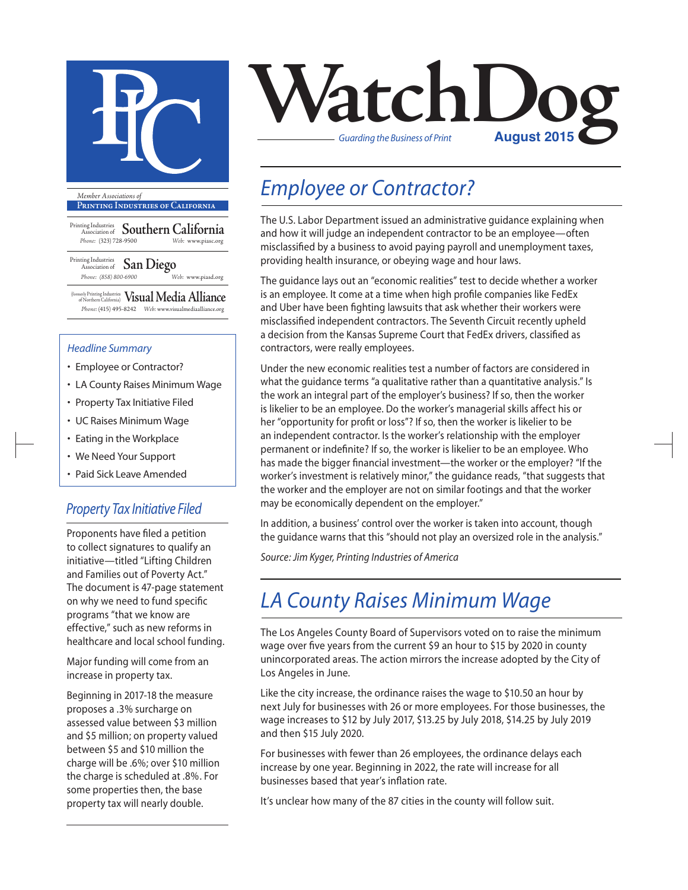

**Printing Industries of California**

- Printing Industries Association of **Southern California** *Phone:* (323) 728-9500 *Web:* www.piasc.org
- Printing Industries Association of **San Diego** *Phone: (858) 800-6900 Web:* www.piasd.org

(formerly Printing Industries of Northern California) **Visual Media Alliance** *Phone:* (415) 495-8242 *Web:* www.visualmediaalliance.org

#### *Headline Summary*

- Employee or Contractor?
- LA County Raises Minimum Wage
- Property Tax Initiative Filed
- UC Raises Minimum Wage
- Eating in the Workplace
- We Need Your Support
- Paid Sick Leave Amended

### *Property Tax Initiative Filed*

Proponents have filed a petition to collect signatures to qualify an initiative—titled "Lifting Children and Families out of Poverty Act." The document is 47-page statement on why we need to fund specific programs "that we know are effective," such as new reforms in healthcare and local school funding.

Major funding will come from an increase in property tax.

Beginning in 2017-18 the measure proposes a .3% surcharge on assessed value between \$3 million and \$5 million; on property valued between \$5 and \$10 million the charge will be .6%; over \$10 million the charge is scheduled at .8%. For some properties then, the base property tax will nearly double.



## *Employee or Contractor?*

The U.S. Labor Department issued an administrative guidance explaining when and how it will judge an independent contractor to be an employee—often misclassified by a business to avoid paying payroll and unemployment taxes, providing health insurance, or obeying wage and hour laws.

The guidance lays out an "economic realities" test to decide whether a worker is an employee. It come at a time when high profile companies like FedEx and Uber have been fighting lawsuits that ask whether their workers were misclassified independent contractors. The Seventh Circuit recently upheld a decision from the Kansas Supreme Court that FedEx drivers, classified as contractors, were really employees.

Under the new economic realities test a number of factors are considered in what the guidance terms "a qualitative rather than a quantitative analysis." Is the work an integral part of the employer's business? If so, then the worker is likelier to be an employee. Do the worker's managerial skills affect his or her "opportunity for profit or loss"? If so, then the worker is likelier to be an independent contractor. Is the worker's relationship with the employer permanent or indefinite? If so, the worker is likelier to be an employee. Who has made the bigger financial investment—the worker or the employer? "If the worker's investment is relatively minor," the guidance reads, "that suggests that the worker and the employer are not on similar footings and that the worker may be economically dependent on the employer."

In addition, a business' control over the worker is taken into account, though the guidance warns that this "should not play an oversized role in the analysis."

*Source: Jim Kyger, Printing Industries of America*

## *LA County Raises Minimum Wage*

The Los Angeles County Board of Supervisors voted on to raise the minimum wage over five years from the current \$9 an hour to \$15 by 2020 in county unincorporated areas. The action mirrors the increase adopted by the City of Los Angeles in June.

Like the city increase, the ordinance raises the wage to \$10.50 an hour by next July for businesses with 26 or more employees. For those businesses, the wage increases to \$12 by July 2017, \$13.25 by July 2018, \$14.25 by July 2019 and then \$15 July 2020.

For businesses with fewer than 26 employees, the ordinance delays each increase by one year. Beginning in 2022, the rate will increase for all businesses based that year's inflation rate.

It's unclear how many of the 87 cities in the county will follow suit.